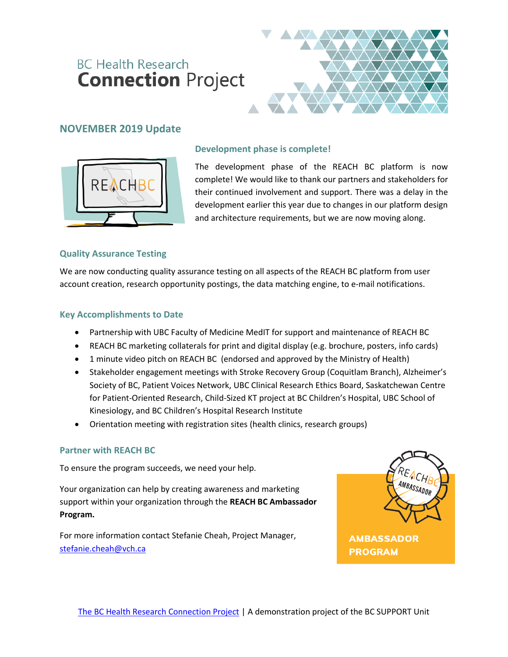## **BC Health Research Connection Project**



### **NOVEMBER 2019 Update**



#### **Development phase is complete!**

The development phase of the REACH BC platform is now complete! We would like to thank our partners and stakeholders for their continued involvement and support. There was a delay in the development earlier this year due to changes in our platform design and architecture requirements, but we are now moving along.

#### **Quality Assurance Testing**

We are now conducting quality assurance testing on all aspects of the REACH BC platform from user account creation, research opportunity postings, the data matching engine, to e-mail notifications.

#### **Key Accomplishments to Date**

- Partnership with UBC Faculty of Medicine MedIT for support and maintenance of REACH BC
- REACH BC marketing collaterals for print and digital display (e.g. brochure, posters, info cards)
- 1 minute video pitch on REACH BC (endorsed and approved by the Ministry of Health)
- Stakeholder engagement meetings with Stroke Recovery Group (Coquitlam Branch), Alzheimer's Society of BC, Patient Voices Network, UBC Clinical Research Ethics Board, Saskatchewan Centre for Patient-Oriented Research, Child-Sized KT project at BC Children's Hospital, UBC School of Kinesiology, and BC Children's Hospital Research Institute
- Orientation meeting with registration sites (health clinics, research groups)

#### **Partner with REACH BC**

To ensure the program succeeds, we need your help.

Your organization can help by creating awareness and marketing support within your organization through the **REACH BC Ambassador Program.**

For more information contact Stefanie Cheah, Project Manager, [stefanie.cheah@vch.ca](mailto:stefanie.cheah@vch.ca)